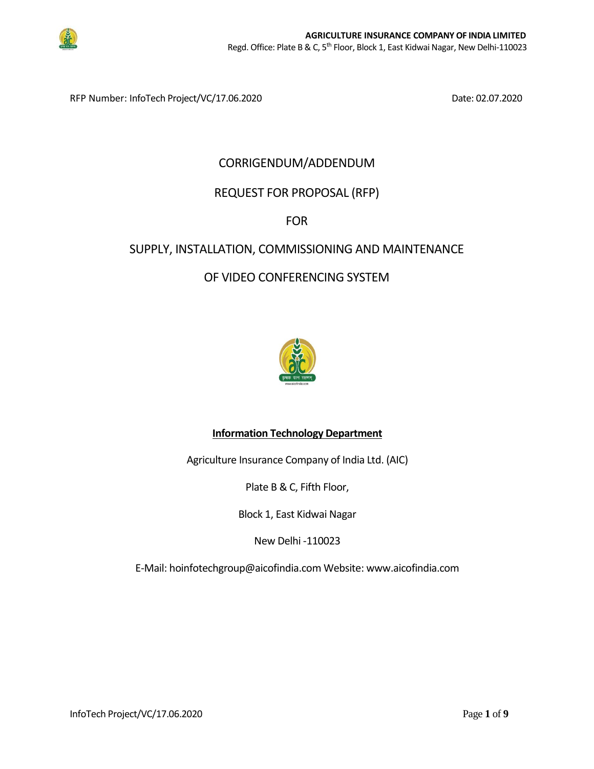

RFP Number: InfoTech Project/VC/17.06.2020 Date: 02.07.2020

# CORRIGENDUM/ADDENDUM

# REQUEST FOR PROPOSAL (RFP)

## FOR

## SUPPLY, INSTALLATION, COMMISSIONING AND MAINTENANCE

## OF VIDEO CONFERENCING SYSTEM



## **Information Technology Department**

Agriculture Insurance Company of India Ltd. (AIC)

Plate B & C, Fifth Floor,

Block 1, East Kidwai Nagar

New Delhi -110023

E-Mail: hoinfotechgroup@aicofindia.com Website: www.aicofindia.com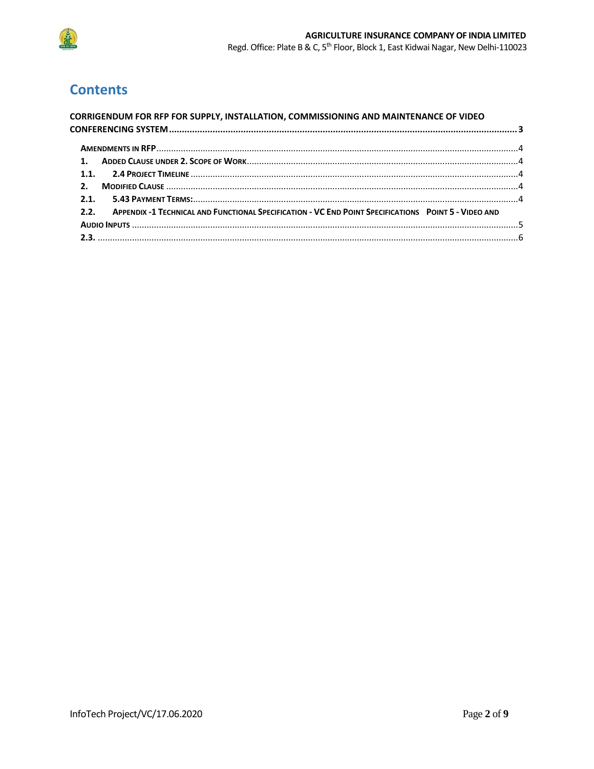

# **Contents**

| <b>CORRIGENDUM FOR RFP FOR SUPPLY, INSTALLATION, COMMISSIONING AND MAINTENANCE OF VIDEO</b>               |  |
|-----------------------------------------------------------------------------------------------------------|--|
|                                                                                                           |  |
|                                                                                                           |  |
|                                                                                                           |  |
|                                                                                                           |  |
|                                                                                                           |  |
|                                                                                                           |  |
| 2.2. APPENDIX -1 TECHNICAL AND FUNCTIONAL SPECIFICATION - VC END POINT SPECIFICATIONS POINT 5 - VIDEO AND |  |
|                                                                                                           |  |
|                                                                                                           |  |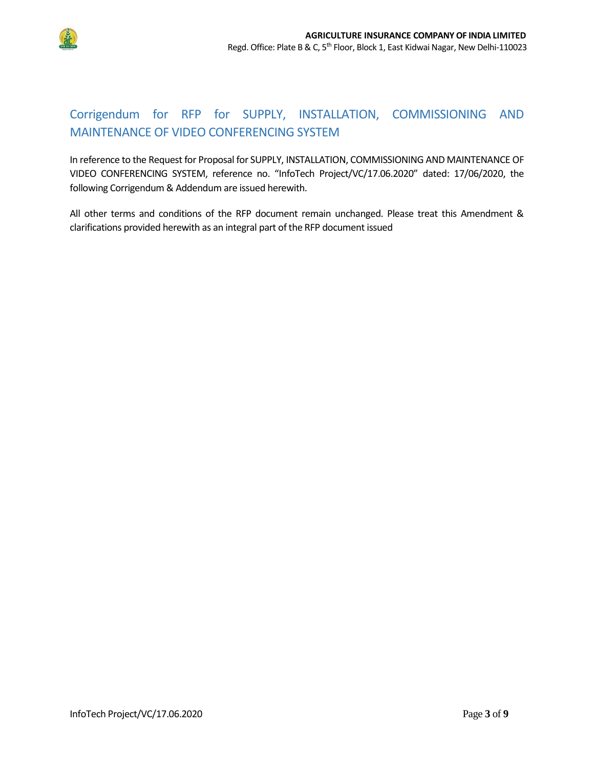

# <span id="page-2-0"></span>Corrigendum for RFP for SUPPLY, INSTALLATION, COMMISSIONING AND MAINTENANCE OF VIDEO CONFERENCING SYSTEM

In reference to the Request for Proposal for SUPPLY, INSTALLATION, COMMISSIONING AND MAINTENANCE OF VIDEO CONFERENCING SYSTEM, reference no. "InfoTech Project/VC/17.06.2020" dated: 17/06/2020, the following Corrigendum & Addendum are issued herewith.

All other terms and conditions of the RFP document remain unchanged. Please treat this Amendment & clarifications provided herewith as an integral part of the RFP document issued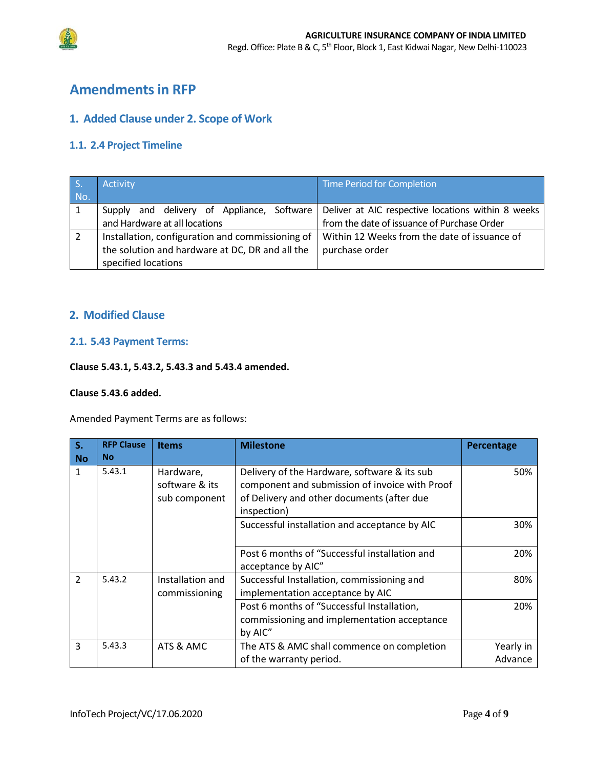



# <span id="page-3-0"></span>**Amendmentsin RFP**

### <span id="page-3-1"></span>**1. Added Clause under 2. Scope of Work**

## <span id="page-3-2"></span>**1.1. 2.4 Project Timeline**

|                                                 | <b>Activity</b>                                  | Time Period for Completion                                                               |
|-------------------------------------------------|--------------------------------------------------|------------------------------------------------------------------------------------------|
| No.                                             |                                                  |                                                                                          |
|                                                 | Supply                                           | and delivery of Appliance, Software   Deliver at AIC respective locations within 8 weeks |
|                                                 | and Hardware at all locations                    | from the date of issuance of Purchase Order                                              |
|                                                 | Installation, configuration and commissioning of | Within 12 Weeks from the date of issuance of                                             |
| the solution and hardware at DC, DR and all the |                                                  | purchase order                                                                           |
|                                                 | specified locations                              |                                                                                          |

## <span id="page-3-3"></span>**2. Modified Clause**

#### <span id="page-3-4"></span>**2.1. 5.43 Payment Terms:**

#### **Clause 5.43.1, 5.43.2, 5.43.3 and 5.43.4 amended.**

#### **Clause 5.43.6 added.**

Amended Payment Terms are as follows:

| S.<br><b>No</b> | <b>RFP Clause</b><br><b>No</b> | <b>Items</b>                                 | <b>Milestone</b>                                                                                                                                            | Percentage           |
|-----------------|--------------------------------|----------------------------------------------|-------------------------------------------------------------------------------------------------------------------------------------------------------------|----------------------|
| $\mathbf{1}$    | 5.43.1                         | Hardware,<br>software & its<br>sub component | Delivery of the Hardware, software & its sub<br>component and submission of invoice with Proof<br>of Delivery and other documents (after due<br>inspection) | 50%                  |
|                 |                                |                                              | Successful installation and acceptance by AIC                                                                                                               | 30%                  |
|                 |                                |                                              | Post 6 months of "Successful installation and<br>acceptance by AIC"                                                                                         | 20%                  |
| $\overline{2}$  | 5.43.2                         | Installation and<br>commissioning            | Successful Installation, commissioning and<br>implementation acceptance by AIC                                                                              | 80%                  |
|                 |                                |                                              | Post 6 months of "Successful Installation,<br>commissioning and implementation acceptance<br>by AIC"                                                        | 20%                  |
| 3               | 5.43.3                         | ATS & AMC                                    | The ATS & AMC shall commence on completion<br>of the warranty period.                                                                                       | Yearly in<br>Advance |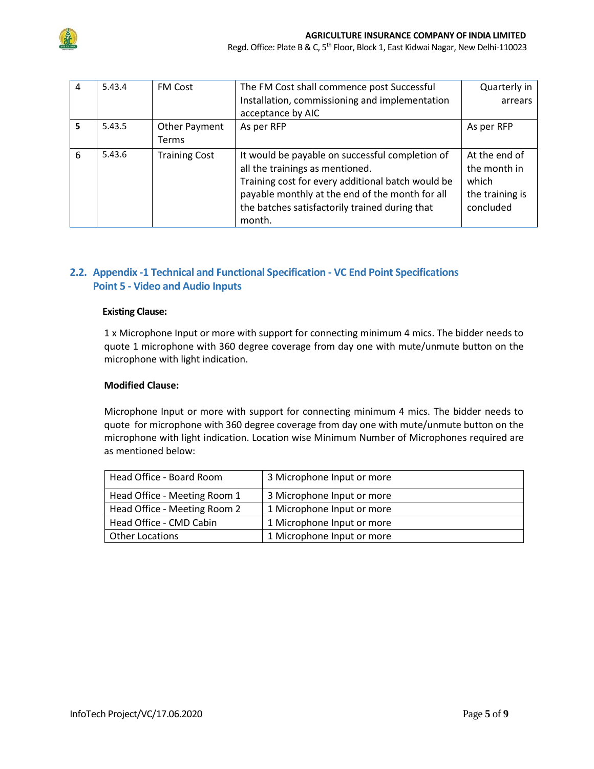

Regd. Office: Plate B & C, 5<sup>th</sup> Floor, Block 1, East Kidwai Nagar, New Delhi-110023

| $\overline{4}$ | 5.43.4 | <b>FM Cost</b>         | The FM Cost shall commence post Successful<br>Installation, commissioning and implementation<br>acceptance by AIC                                                                                                                                      | Quarterly in<br>arrears                                                |
|----------------|--------|------------------------|--------------------------------------------------------------------------------------------------------------------------------------------------------------------------------------------------------------------------------------------------------|------------------------------------------------------------------------|
| 5              | 5.43.5 | Other Payment<br>Terms | As per RFP                                                                                                                                                                                                                                             | As per RFP                                                             |
| 6              | 5.43.6 | <b>Training Cost</b>   | It would be payable on successful completion of<br>all the trainings as mentioned.<br>Training cost for every additional batch would be<br>payable monthly at the end of the month for all<br>the batches satisfactorily trained during that<br>month. | At the end of<br>the month in<br>which<br>the training is<br>concluded |

## <span id="page-4-0"></span>**2.2. Appendix -1 Technical and Functional Specification - VC End Point Specifications Point 5 - Video and Audio Inputs**

#### **Existing Clause:**

1 x Microphone Input or more with support for connecting minimum 4 mics. The bidder needs to quote 1 microphone with 360 degree coverage from day one with mute/unmute button on the microphone with light indication.

#### **Modified Clause:**

Microphone Input or more with support for connecting minimum 4 mics. The bidder needs to quote for microphone with 360 degree coverage from day one with mute/unmute button on the microphone with light indication. Location wise Minimum Number of Microphones required are as mentioned below:

| Head Office - Board Room     | 3 Microphone Input or more |
|------------------------------|----------------------------|
| Head Office - Meeting Room 1 | 3 Microphone Input or more |
| Head Office - Meeting Room 2 | 1 Microphone Input or more |
| Head Office - CMD Cabin      | 1 Microphone Input or more |
| <b>Other Locations</b>       | 1 Microphone Input or more |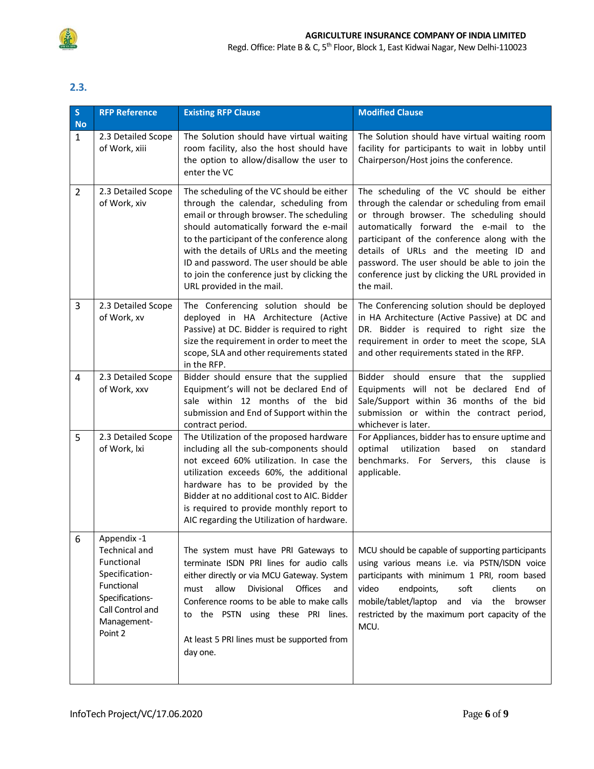

## <span id="page-5-0"></span>**2.3.**

| $\mathsf{S}$<br><b>No</b> | <b>RFP Reference</b>                                                                                                                        | <b>Existing RFP Clause</b>                                                                                                                                                                                                                                                                                                                                                                  | <b>Modified Clause</b>                                                                                                                                                                                                                                                                                                                                                                        |
|---------------------------|---------------------------------------------------------------------------------------------------------------------------------------------|---------------------------------------------------------------------------------------------------------------------------------------------------------------------------------------------------------------------------------------------------------------------------------------------------------------------------------------------------------------------------------------------|-----------------------------------------------------------------------------------------------------------------------------------------------------------------------------------------------------------------------------------------------------------------------------------------------------------------------------------------------------------------------------------------------|
| $\mathbf{1}$              | 2.3 Detailed Scope<br>of Work, xiii                                                                                                         | The Solution should have virtual waiting<br>room facility, also the host should have<br>the option to allow/disallow the user to<br>enter the VC                                                                                                                                                                                                                                            | The Solution should have virtual waiting room<br>facility for participants to wait in lobby until<br>Chairperson/Host joins the conference.                                                                                                                                                                                                                                                   |
| $\overline{2}$            | 2.3 Detailed Scope<br>of Work, xiv                                                                                                          | The scheduling of the VC should be either<br>through the calendar, scheduling from<br>email or through browser. The scheduling<br>should automatically forward the e-mail<br>to the participant of the conference along<br>with the details of URLs and the meeting<br>ID and password. The user should be able<br>to join the conference just by clicking the<br>URL provided in the mail. | The scheduling of the VC should be either<br>through the calendar or scheduling from email<br>or through browser. The scheduling should<br>automatically forward the e-mail to the<br>participant of the conference along with the<br>details of URLs and the meeting ID and<br>password. The user should be able to join the<br>conference just by clicking the URL provided in<br>the mail. |
| 3                         | 2.3 Detailed Scope<br>of Work, xv                                                                                                           | The Conferencing solution should be<br>deployed in HA Architecture (Active<br>Passive) at DC. Bidder is required to right<br>size the requirement in order to meet the<br>scope, SLA and other requirements stated<br>in the RFP.                                                                                                                                                           | The Conferencing solution should be deployed<br>in HA Architecture (Active Passive) at DC and<br>DR. Bidder is required to right size the<br>requirement in order to meet the scope, SLA<br>and other requirements stated in the RFP.                                                                                                                                                         |
| 4                         | 2.3 Detailed Scope<br>of Work, xxv                                                                                                          | Bidder should ensure that the supplied<br>Equipment's will not be declared End of<br>sale within 12 months of the bid<br>submission and End of Support within the<br>contract period.                                                                                                                                                                                                       | Bidder should ensure that the supplied<br>Equipments will not be declared End of<br>Sale/Support within 36 months of the bid<br>submission or within the contract period,<br>whichever is later.                                                                                                                                                                                              |
| 5                         | 2.3 Detailed Scope<br>of Work, Ixi                                                                                                          | The Utilization of the proposed hardware<br>including all the sub-components should<br>not exceed 60% utilization. In case the<br>utilization exceeds 60%, the additional<br>hardware has to be provided by the<br>Bidder at no additional cost to AIC. Bidder<br>is required to provide monthly report to<br>AIC regarding the Utilization of hardware.                                    | For Appliances, bidder has to ensure uptime and<br>utilization<br>based<br>optimal<br>standard<br>on<br>benchmarks. For Servers, this<br>clause is<br>applicable.                                                                                                                                                                                                                             |
| 6                         | Appendix -1<br>Technical and<br>Functional<br>Specification-<br>Functional<br>Specifications-<br>Call Control and<br>Management-<br>Point 2 | The system must have PRI Gateways to<br>terminate ISDN PRI lines for audio calls<br>either directly or via MCU Gateway. System<br>Offices<br>allow<br>Divisional<br>must<br>and<br>Conference rooms to be able to make calls<br>to the PSTN using these PRI lines.<br>At least 5 PRI lines must be supported from<br>day one.                                                               | MCU should be capable of supporting participants<br>using various means i.e. via PSTN/ISDN voice<br>participants with minimum 1 PRI, room based<br>video<br>endpoints,<br>soft<br>clients<br>on<br>mobile/tablet/laptop<br>and via<br>the browser<br>restricted by the maximum port capacity of the<br>MCU.                                                                                   |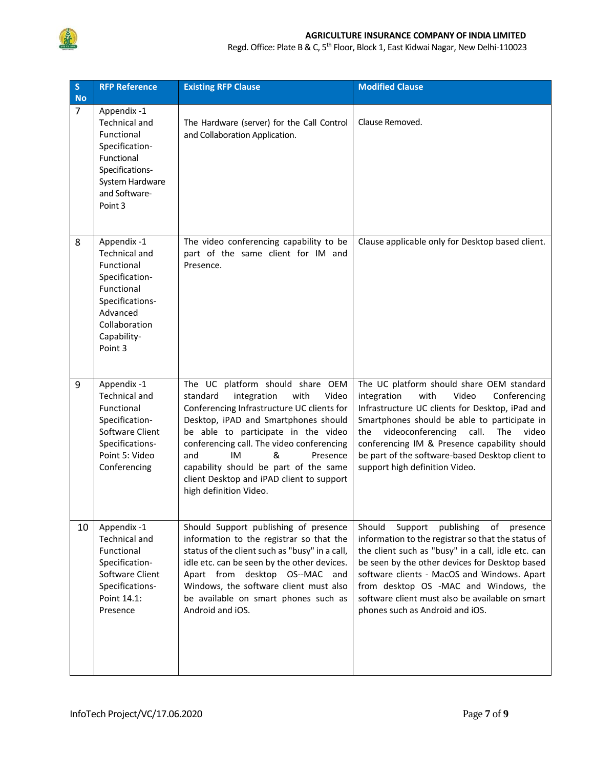

#### **AGRICULTURE INSURANCE COMPANY OF INDIA LIMITED**

Regd. Office: Plate B & C, 5<sup>th</sup> Floor, Block 1, East Kidwai Nagar, New Delhi-110023

| S<br><b>No</b> | <b>RFP Reference</b>                                                                                                                                        | <b>Existing RFP Clause</b>                                                                                                                                                                                                                                                                                                                                                                           | <b>Modified Clause</b>                                                                                                                                                                                                                                                                                                                                                                        |
|----------------|-------------------------------------------------------------------------------------------------------------------------------------------------------------|------------------------------------------------------------------------------------------------------------------------------------------------------------------------------------------------------------------------------------------------------------------------------------------------------------------------------------------------------------------------------------------------------|-----------------------------------------------------------------------------------------------------------------------------------------------------------------------------------------------------------------------------------------------------------------------------------------------------------------------------------------------------------------------------------------------|
| $\overline{7}$ | Appendix -1<br><b>Technical and</b><br>Functional<br>Specification-<br>Functional<br>Specifications-<br>System Hardware<br>and Software-<br>Point 3         | The Hardware (server) for the Call Control<br>and Collaboration Application.                                                                                                                                                                                                                                                                                                                         | Clause Removed.                                                                                                                                                                                                                                                                                                                                                                               |
| 8              | Appendix -1<br><b>Technical and</b><br>Functional<br>Specification-<br>Functional<br>Specifications-<br>Advanced<br>Collaboration<br>Capability-<br>Point 3 | The video conferencing capability to be<br>part of the same client for IM and<br>Presence.                                                                                                                                                                                                                                                                                                           | Clause applicable only for Desktop based client.                                                                                                                                                                                                                                                                                                                                              |
| 9              | Appendix -1<br><b>Technical and</b><br>Functional<br>Specification-<br>Software Client<br>Specifications-<br>Point 5: Video<br>Conferencing                 | The UC platform should share OEM<br>standard<br>integration<br>with<br>Video<br>Conferencing Infrastructure UC clients for<br>Desktop, iPAD and Smartphones should<br>be able to participate in the video<br>conferencing call. The video conferencing<br>and<br>IM<br>&<br>Presence<br>capability should be part of the same<br>client Desktop and iPAD client to support<br>high definition Video. | The UC platform should share OEM standard<br>integration<br>with<br>Video<br>Conferencing<br>Infrastructure UC clients for Desktop, iPad and<br>Smartphones should be able to participate in<br>videoconferencing call.<br>The<br>video<br>the<br>conferencing IM & Presence capability should<br>be part of the software-based Desktop client to<br>support high definition Video.           |
| 10             | Appendix -1<br><b>Technical and</b><br>Functional<br>Specification-<br>Software Client<br>Specifications-<br>Point 14.1:<br>Presence                        | Should Support publishing of presence<br>information to the registrar so that the<br>status of the client such as "busy" in a call,<br>idle etc. can be seen by the other devices.<br>Apart from desktop OS--MAC and<br>Windows, the software client must also<br>be available on smart phones such as<br>Android and iOS.                                                                           | Should<br>Support<br>publishing<br>of<br>presence<br>information to the registrar so that the status of<br>the client such as "busy" in a call, idle etc. can<br>be seen by the other devices for Desktop based<br>software clients - MacOS and Windows. Apart<br>from desktop OS -MAC and Windows, the<br>software client must also be available on smart<br>phones such as Android and iOS. |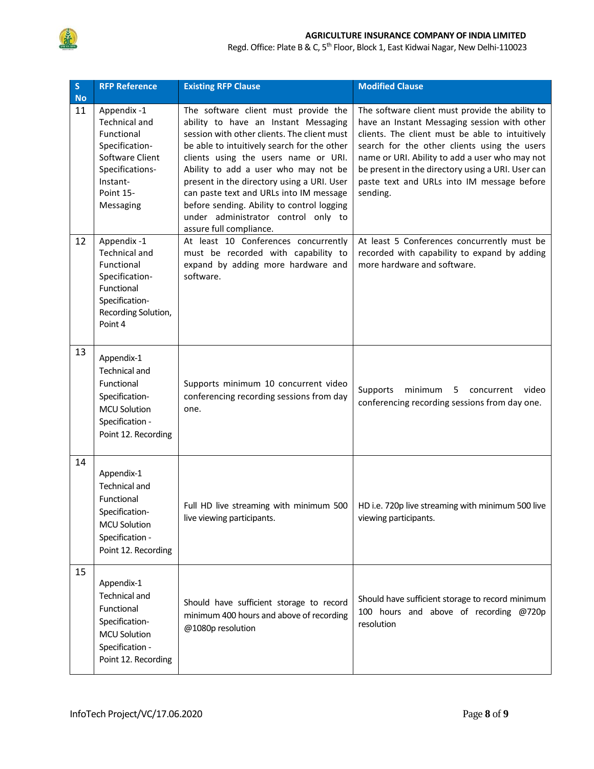

#### **AGRICULTURE INSURANCE COMPANY OF INDIA LIMITED**

Regd. Office: Plate B & C, 5<sup>th</sup> Floor, Block 1, East Kidwai Nagar, New Delhi-110023

| $\mathsf S$<br><b>No</b> | <b>RFP Reference</b>                                                                                                                            | <b>Existing RFP Clause</b>                                                                                                                                                                                                                                                                                                                                                                                                                                          | <b>Modified Clause</b>                                                                                                                                                                                                                                                                                                                                              |
|--------------------------|-------------------------------------------------------------------------------------------------------------------------------------------------|---------------------------------------------------------------------------------------------------------------------------------------------------------------------------------------------------------------------------------------------------------------------------------------------------------------------------------------------------------------------------------------------------------------------------------------------------------------------|---------------------------------------------------------------------------------------------------------------------------------------------------------------------------------------------------------------------------------------------------------------------------------------------------------------------------------------------------------------------|
| 11                       | Appendix -1<br><b>Technical and</b><br>Functional<br>Specification-<br>Software Client<br>Specifications-<br>Instant-<br>Point 15-<br>Messaging | The software client must provide the<br>ability to have an Instant Messaging<br>session with other clients. The client must<br>be able to intuitively search for the other<br>clients using the users name or URI.<br>Ability to add a user who may not be<br>present in the directory using a URI. User<br>can paste text and URLs into IM message<br>before sending. Ability to control logging<br>under administrator control only to<br>assure full compliance. | The software client must provide the ability to<br>have an Instant Messaging session with other<br>clients. The client must be able to intuitively<br>search for the other clients using the users<br>name or URI. Ability to add a user who may not<br>be present in the directory using a URI. User can<br>paste text and URLs into IM message before<br>sending. |
| 12                       | Appendix -1<br><b>Technical and</b><br>Functional<br>Specification-<br>Functional<br>Specification-<br>Recording Solution,<br>Point 4           | At least 10 Conferences concurrently<br>must be recorded with capability to<br>expand by adding more hardware and<br>software.                                                                                                                                                                                                                                                                                                                                      | At least 5 Conferences concurrently must be<br>recorded with capability to expand by adding<br>more hardware and software.                                                                                                                                                                                                                                          |
| 13                       | Appendix-1<br><b>Technical and</b><br>Functional<br>Specification-<br><b>MCU Solution</b><br>Specification -<br>Point 12. Recording             | Supports minimum 10 concurrent video<br>conferencing recording sessions from day<br>one.                                                                                                                                                                                                                                                                                                                                                                            | Supports<br>minimum<br>5<br>concurrent<br>video<br>conferencing recording sessions from day one.                                                                                                                                                                                                                                                                    |
| 14                       | Appendix-1<br>Technical and<br>Functional<br>Specification-<br><b>MCU Solution</b><br>Specification -<br>Point 12. Recording                    | Full HD live streaming with minimum 500<br>live viewing participants.                                                                                                                                                                                                                                                                                                                                                                                               | HD i.e. 720p live streaming with minimum 500 live<br>viewing participants.                                                                                                                                                                                                                                                                                          |
| 15                       | Appendix-1<br><b>Technical and</b><br>Functional<br>Specification-<br><b>MCU Solution</b><br>Specification -<br>Point 12. Recording             | Should have sufficient storage to record<br>minimum 400 hours and above of recording<br>@1080p resolution                                                                                                                                                                                                                                                                                                                                                           | Should have sufficient storage to record minimum<br>100 hours and above of recording @720p<br>resolution                                                                                                                                                                                                                                                            |